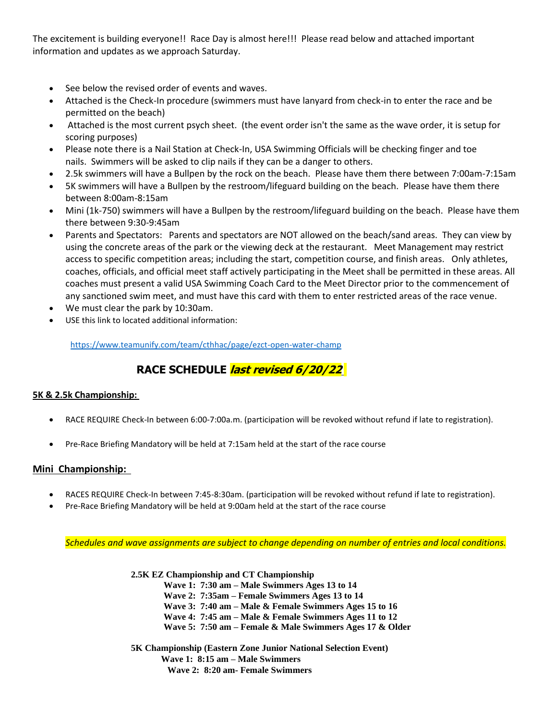The excitement is building everyone!! Race Day is almost here!!! Please read below and attached important information and updates as we approach Saturday.

- See below the revised order of events and waves.
- Attached is the Check-In procedure (swimmers must have lanyard from check-in to enter the race and be permitted on the beach)
- Attached is the most current psych sheet. (the event order isn't the same as the wave order, it is setup for scoring purposes)
- Please note there is a Nail Station at Check-In, USA Swimming Officials will be checking finger and toe nails. Swimmers will be asked to clip nails if they can be a danger to others.
- 2.5k swimmers will have a Bullpen by the rock on the beach. Please have them there between 7:00am-7:15am
- 5K swimmers will have a Bullpen by the restroom/lifeguard building on the beach. Please have them there between 8:00am-8:15am
- Mini (1k-750) swimmers will have a Bullpen by the restroom/lifeguard building on the beach. Please have them there between 9:30-9:45am
- Parents and Spectators: Parents and spectators are NOT allowed on the beach/sand areas. They can view by using the concrete areas of the park or the viewing deck at the restaurant. Meet Management may restrict access to specific competition areas; including the start, competition course, and finish areas. Only athletes, coaches, officials, and official meet staff actively participating in the Meet shall be permitted in these areas. All coaches must present a valid USA Swimming Coach Card to the Meet Director prior to the commencement of any sanctioned swim meet, and must have this card with them to enter restricted areas of the race venue.
- We must clear the park by 10:30am.
- USE this link to located additional information:

<https://www.teamunify.com/team/cthhac/page/ezct-open-water-champ>

# **RACE SCHEDULE last revised 6/20/22**

# **5K & 2.5k Championship:**

- RACE REQUIRE Check-In between 6:00-7:00a.m. (participation will be revoked without refund if late to registration).
- Pre-Race Briefing Mandatory will be held at 7:15am held at the start of the race course

# **Mini Championship:**

- RACES REQUIRE Check-In between 7:45-8:30am. (participation will be revoked without refund if late to registration).
- Pre-Race Briefing Mandatory will be held at 9:00am held at the start of the race course

*Schedules and wave assignments are subject to change depending on number of entries and local conditions.*

**2.5K EZ Championship and CT Championship**

**Wave 1: 7:30 am – Male Swimmers Ages 13 to 14**

**Wave 2: 7:35am – Female Swimmers Ages 13 to 14**

**Wave 3: 7:40 am – Male & Female Swimmers Ages 15 to 16**

**Wave 4: 7:45 am – Male & Female Swimmers Ages 11 to 12 Wave 5: 7:50 am – Female & Male Swimmers Ages 17 & Older**

**5K Championship (Eastern Zone Junior National Selection Event) Wave 1: 8:15 am – Male Swimmers Wave 2: 8:20 am- Female Swimmers**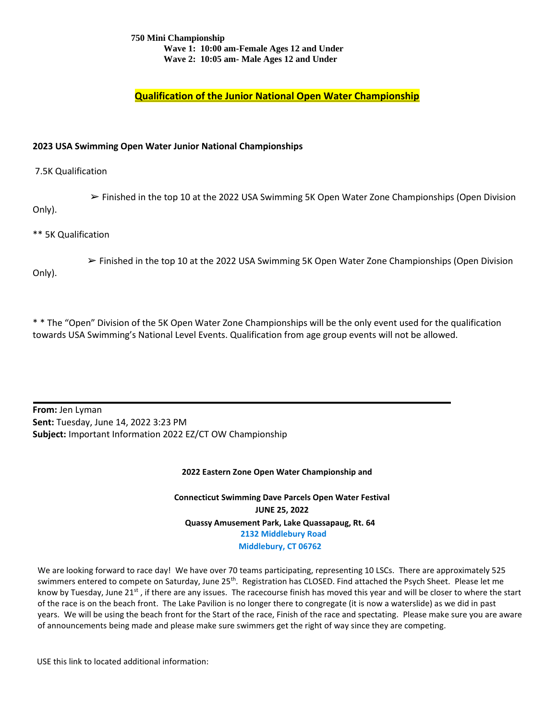### **750 Mini Championship Wave 1: 10:00 am-Female Ages 12 and Under Wave 2: 10:05 am- Male Ages 12 and Under**

**Qualification of the Junior National Open Water Championship**

# **2023 USA Swimming Open Water Junior National Championships**

### 7.5K Qualification

 ➢ Finished in the top 10 at the 2022 USA Swimming 5K Open Water Zone Championships (Open Division Only).

\*\* 5K Qualification

 $\triangleright$  Finished in the top 10 at the 2022 USA Swimming 5K Open Water Zone Championships (Open Division Only).

\* \* The "Open" Division of the 5K Open Water Zone Championships will be the only event used for the qualification towards USA Swimming's National Level Events. Qualification from age group events will not be allowed.

**From:** Jen Lyman **Sent:** Tuesday, June 14, 2022 3:23 PM **Subject:** Important Information 2022 EZ/CT OW Championship

#### **2022 Eastern Zone Open Water Championship and**

**Connecticut Swimming Dave Parcels Open Water Festival JUNE 25, 2022 Quassy Amusement Park, Lake Quassapaug, Rt. 64 2132 Middlebury Road Middlebury, CT 06762** 

We are looking forward to race day! We have over 70 teams participating, representing 10 LSCs. There are approximately 525 swimmers entered to compete on Saturday, June 25<sup>th</sup>. Registration has CLOSED. Find attached the Psych Sheet. Please let me know by Tuesday, June 21 $st$ , if there are any issues. The racecourse finish has moved this year and will be closer to where the start of the race is on the beach front. The Lake Pavilion is no longer there to congregate (it is now a waterslide) as we did in past years. We will be using the beach front for the Start of the race, Finish of the race and spectating. Please make sure you are aware of announcements being made and please make sure swimmers get the right of way since they are competing.

USE this link to located additional information: